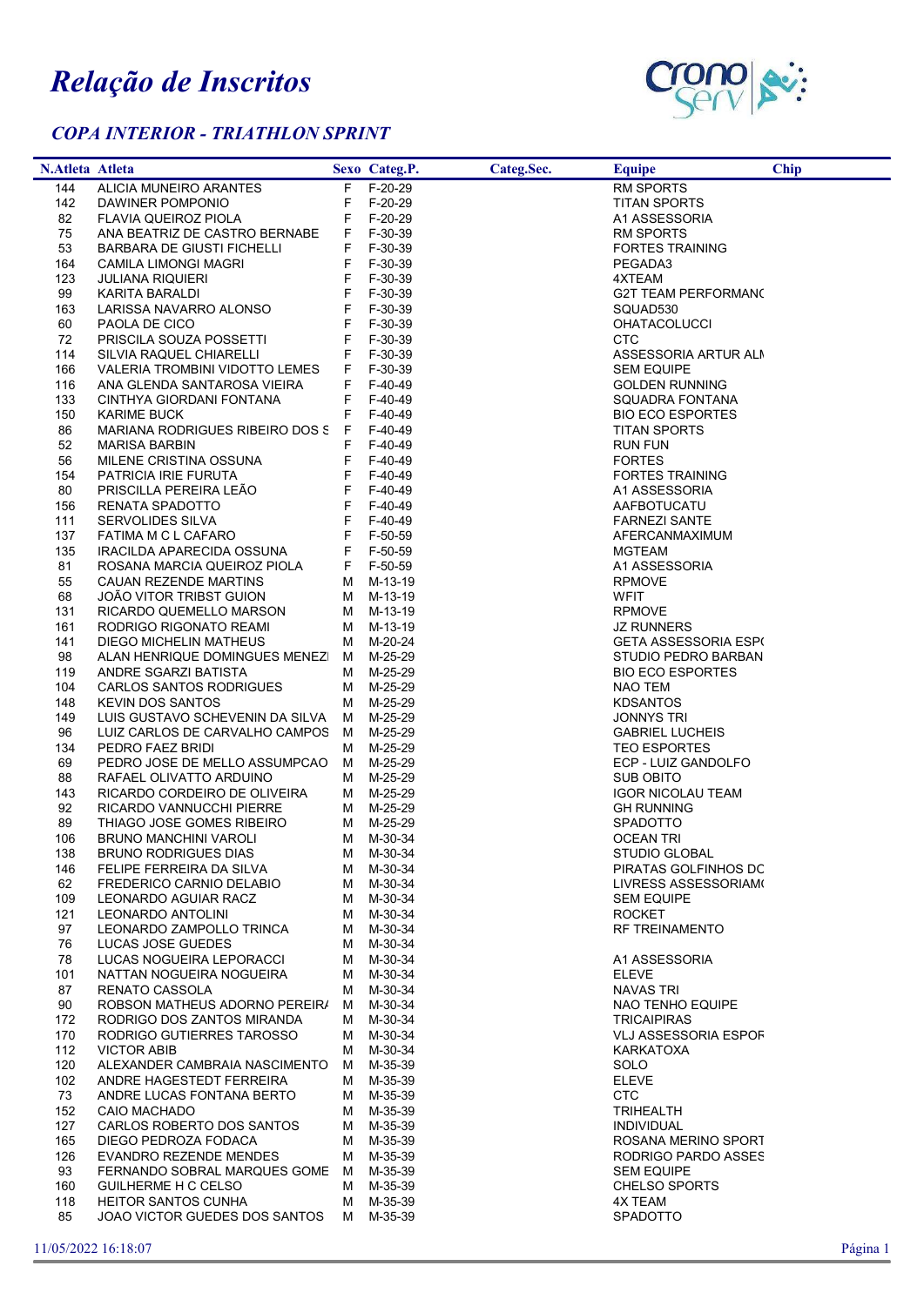## Relação de Inscritos

## COPA INTERIOR - TRIATHLON SPRINT



| F F-20-29<br><b>RM SPORTS</b><br>144<br>ALICIA MUNEIRO ARANTES<br>142<br>F F-20-29<br><b>TITAN SPORTS</b><br>DAWINER POMPONIO<br>F-20-29<br>82<br>FLAVIA QUEIROZ PIOLA<br>F.<br>A1 ASSESSORIA<br>75<br>F F-30-39<br>ANA BEATRIZ DE CASTRO BERNABE<br>RM SPORTS<br>53<br>F F-30-39<br><b>FORTES TRAINING</b><br>BARBARA DE GIUSTI FICHELLI<br>164<br>F.<br>F-30-39<br>CAMILA LIMONGI MAGRI<br>PEGADA3<br>123<br>F.<br><b>JULIANA RIQUIERI</b><br>F-30-39<br>4XTEAM<br>F.<br>F-30-39<br><b>G2T TEAM PERFORMANO</b><br>99<br>KARITA BARALDI<br>163<br>LARISSA NAVARRO ALONSO<br>F.<br>F-30-39<br>SQUAD530<br>60<br>F.<br>F-30-39<br>PAOLA DE CICO<br><b>OHATACOLUCCI</b><br>72<br>F-30-39<br>PRISCILA SOUZA POSSETTI<br>F.<br>CTC<br>114<br>SILVIA RAQUEL CHIARELLI<br>F F-30-39<br>ASSESSORIA ARTUR ALM<br>166<br>F.<br>F-30-39<br>VALERIA TROMBINI VIDOTTO LEMES<br><b>SEM EQUIPE</b><br>$F-40-49$<br>116<br>ANA GLENDA SANTAROSA VIEIRA<br>F.<br><b>GOLDEN RUNNING</b><br>133<br>CINTHYA GIORDANI FONTANA<br>F<br>F-40-49<br>SQUADRA FONTANA<br>150<br>F.<br>F-40-49<br><b>BIO ECO ESPORTES</b><br><b>KARIME BUCK</b><br>86<br>MARIANA RODRIGUES RIBEIRO DOS S F F-40-49<br><b>TITAN SPORTS</b><br>52<br><b>MARISA BARBIN</b><br>F F-40-49<br>RUN FUN<br>56<br>MILENE CRISTINA OSSUNA<br>F.<br>F-40-49<br><b>FORTES</b><br>154<br>PATRICIA IRIE FURUTA<br>F F-40-49<br><b>FORTES TRAINING</b><br>F F-40-49<br>80<br>PRISCILLA PEREIRA LEÃO<br>A1 ASSESSORIA<br>F.<br>F-40-49<br>156<br>RENATA SPADOTTO<br>AAFBOTUCATU<br>F.<br>111<br>SERVOLIDES SILVA<br>F-40-49<br><b>FARNEZI SANTE</b><br>137<br>FATIMA M C L CAFARO<br>F.<br>F-50-59<br>AFERCANMAXIMUM<br>135<br>F F-50-59<br>IRACILDA APARECIDA OSSUNA<br>MGTEAM<br>81<br>F F-50-59<br>A1 ASSESSORIA<br>ROSANA MARCIA QUEIROZ PIOLA<br>55<br>CAUAN REZENDE MARTINS<br>M M-13-19<br><b>RPMOVE</b><br>68<br>JOÃO VITOR TRIBST GUION<br>M M-13-19<br><b>WFIT</b><br>131<br>RICARDO QUEMELLO MARSON<br>M M-13-19<br><b>RPMOVE</b><br>161<br>RODRIGO RIGONATO REAMI<br>M M-13-19<br><b>JZ RUNNERS</b><br>141<br>M M-20-24<br><b>GETA ASSESSORIA ESPI</b><br>DIEGO MICHELIN MATHEUS<br>98<br>ALAN HENRIQUE DOMINGUES MENEZI M M-25-29<br>STUDIO PEDRO BARBAN<br>M M-25-29<br><b>BIO ECO ESPORTES</b><br>119<br>ANDRE SGARZI BATISTA<br>104<br>CARLOS SANTOS RODRIGUES<br>M M-25-29<br>NAO TEM<br>148<br><b>KEVIN DOS SANTOS</b><br>M-25-29<br><b>KDSANTOS</b><br>M<br>149<br>LUIS GUSTAVO SCHEVENIN DA SILVA<br>M-25-29<br><b>JONNYS TRI</b><br>M<br>96<br>LUIZ CARLOS DE CARVALHO CAMPOS M<br>M-25-29<br><b>GABRIEL LUCHEIS</b><br>134<br>PEDRO FAEZ BRIDI<br>M-25-29<br><b>TEO ESPORTES</b><br>м<br>69<br>PEDRO JOSE DE MELLO ASSUMPCAO<br>M-25-29<br>ECP - LUIZ GANDOLFO<br>M<br>88<br>RAFAEL OLIVATTO ARDUINO<br>M M-25-29<br><b>SUB OBITO</b><br>143<br>RICARDO CORDEIRO DE OLIVEIRA<br>M M-25-29<br><b>IGOR NICOLAU TEAM</b><br>92<br>RICARDO VANNUCCHI PIERRE<br>M M-25-29<br><b>GH RUNNING</b><br>89<br>THIAGO JOSE GOMES RIBEIRO<br>M M-25-29<br><b>SPADOTTO</b><br>106<br>M M-30-34<br>BRUNO MANCHINI VAROLI<br><b>OCEAN TRI</b><br>138<br>M M-30-34<br>STUDIO GLOBAL<br><b>BRUNO RODRIGUES DIAS</b><br>FELIPE FERREIRA DA SILVA<br>M M-30-34<br>PIRATAS GOLFINHOS DC<br>146<br>62<br>M M-30-34<br>LIVRESS ASSESSORIAM<br>FREDERICO CARNIO DELABIO<br>109<br>LEONARDO AGUIAR RACZ<br>M M-30-34<br><b>SEM EQUIPE</b><br>121<br>M-30-34<br>LEONARDO ANTOLINI<br><b>ROCKET</b><br>M<br>97<br>LEONARDO ZAMPOLLO TRINCA<br>M M-30-34<br><b>RF TREINAMENTO</b><br>M-30-34<br>76<br>LUCAS JOSE GUEDES<br>M<br>78<br>LUCAS NOGUEIRA LEPORACCI<br>M-30-34<br>A1 ASSESSORIA<br>M<br>101<br>M M-30-34<br><b>ELEVE</b><br>NATTAN NOGUEIRA NOGUEIRA<br>87<br>RENATO CASSOLA<br>M-30-34<br><b>NAVAS TRI</b><br>M<br>90<br>ROBSON MATHEUS ADORNO PEREIRA<br>M-30-34<br>M<br>NAO TENHO EQUIPE<br>RODRIGO DOS ZANTOS MIRANDA<br>M-30-34<br>172<br><b>TRICAIPIRAS</b><br>M<br>170<br>RODRIGO GUTIERRES TAROSSO<br>M-30-34<br><b>VLJ ASSESSORIA ESPOF</b><br>M<br>112<br><b>VICTOR ABIB</b><br>M-30-34<br>KARKATOXA<br>M<br>120<br>ALEXANDER CAMBRAIA NASCIMENTO<br>M-35-39<br>SOLO<br>M<br>102<br>ANDRE HAGESTEDT FERREIRA<br>M-35-39<br><b>ELEVE</b><br>M<br>73<br><b>CTC</b><br>M-35-39<br>ANDRE LUCAS FONTANA BERTO<br>M<br>152<br>M-35-39<br>CAIO MACHADO<br>TRIHEALTH<br>M<br>127<br>CARLOS ROBERTO DOS SANTOS<br>M-35-39<br><b>INDIVIDUAL</b><br>M<br>165<br>DIEGO PEDROZA FODACA<br>M-35-39<br>ROSANA MERINO SPORT<br>M<br>M-35-39<br>126<br>EVANDRO REZENDE MENDES<br>RODRIGO PARDO ASSES<br>M<br>93<br>M-35-39<br>FERNANDO SOBRAL MARQUES GOME M<br><b>SEM EQUIPE</b><br>M-35-39<br>160<br>GUILHERME H C CELSO<br><b>CHELSO SPORTS</b><br>M<br><b>HEITOR SANTOS CUNHA</b><br>M-35-39<br>4X TEAM<br>118<br>M<br>85<br>JOAO VICTOR GUEDES DOS SANTOS<br>M-35-39<br>SPADOTTO<br>M | <b>N.Atleta Atleta</b> |  | Sexo Categ.P. | Categ.Sec. | <b>Equipe</b> | <b>Chip</b> |
|--------------------------------------------------------------------------------------------------------------------------------------------------------------------------------------------------------------------------------------------------------------------------------------------------------------------------------------------------------------------------------------------------------------------------------------------------------------------------------------------------------------------------------------------------------------------------------------------------------------------------------------------------------------------------------------------------------------------------------------------------------------------------------------------------------------------------------------------------------------------------------------------------------------------------------------------------------------------------------------------------------------------------------------------------------------------------------------------------------------------------------------------------------------------------------------------------------------------------------------------------------------------------------------------------------------------------------------------------------------------------------------------------------------------------------------------------------------------------------------------------------------------------------------------------------------------------------------------------------------------------------------------------------------------------------------------------------------------------------------------------------------------------------------------------------------------------------------------------------------------------------------------------------------------------------------------------------------------------------------------------------------------------------------------------------------------------------------------------------------------------------------------------------------------------------------------------------------------------------------------------------------------------------------------------------------------------------------------------------------------------------------------------------------------------------------------------------------------------------------------------------------------------------------------------------------------------------------------------------------------------------------------------------------------------------------------------------------------------------------------------------------------------------------------------------------------------------------------------------------------------------------------------------------------------------------------------------------------------------------------------------------------------------------------------------------------------------------------------------------------------------------------------------------------------------------------------------------------------------------------------------------------------------------------------------------------------------------------------------------------------------------------------------------------------------------------------------------------------------------------------------------------------------------------------------------------------------------------------------------------------------------------------------------------------------------------------------------------------------------------------------------------------------------------------------------------------------------------------------------------------------------------------------------------------------------------------------------------------------------------------------------------------------------------------------------------------------------------------------------------------------------------------------------------------------------------------------------------------------------------------------------------------------------------------------------------------------------------------------------------------------------------------------------------------------------------------------------------------------------------------------------------------------------------------------------------------------------------------------------------------------------------------------------------------------------------------------------------------------------------------------------------------------------------------------------------------------|------------------------|--|---------------|------------|---------------|-------------|
|                                                                                                                                                                                                                                                                                                                                                                                                                                                                                                                                                                                                                                                                                                                                                                                                                                                                                                                                                                                                                                                                                                                                                                                                                                                                                                                                                                                                                                                                                                                                                                                                                                                                                                                                                                                                                                                                                                                                                                                                                                                                                                                                                                                                                                                                                                                                                                                                                                                                                                                                                                                                                                                                                                                                                                                                                                                                                                                                                                                                                                                                                                                                                                                                                                                                                                                                                                                                                                                                                                                                                                                                                                                                                                                                                                                                                                                                                                                                                                                                                                                                                                                                                                                                                                                                                                                                                                                                                                                                                                                                                                                                                                                                                                                                                                                                                                |                        |  |               |            |               |             |
|                                                                                                                                                                                                                                                                                                                                                                                                                                                                                                                                                                                                                                                                                                                                                                                                                                                                                                                                                                                                                                                                                                                                                                                                                                                                                                                                                                                                                                                                                                                                                                                                                                                                                                                                                                                                                                                                                                                                                                                                                                                                                                                                                                                                                                                                                                                                                                                                                                                                                                                                                                                                                                                                                                                                                                                                                                                                                                                                                                                                                                                                                                                                                                                                                                                                                                                                                                                                                                                                                                                                                                                                                                                                                                                                                                                                                                                                                                                                                                                                                                                                                                                                                                                                                                                                                                                                                                                                                                                                                                                                                                                                                                                                                                                                                                                                                                |                        |  |               |            |               |             |
|                                                                                                                                                                                                                                                                                                                                                                                                                                                                                                                                                                                                                                                                                                                                                                                                                                                                                                                                                                                                                                                                                                                                                                                                                                                                                                                                                                                                                                                                                                                                                                                                                                                                                                                                                                                                                                                                                                                                                                                                                                                                                                                                                                                                                                                                                                                                                                                                                                                                                                                                                                                                                                                                                                                                                                                                                                                                                                                                                                                                                                                                                                                                                                                                                                                                                                                                                                                                                                                                                                                                                                                                                                                                                                                                                                                                                                                                                                                                                                                                                                                                                                                                                                                                                                                                                                                                                                                                                                                                                                                                                                                                                                                                                                                                                                                                                                |                        |  |               |            |               |             |
|                                                                                                                                                                                                                                                                                                                                                                                                                                                                                                                                                                                                                                                                                                                                                                                                                                                                                                                                                                                                                                                                                                                                                                                                                                                                                                                                                                                                                                                                                                                                                                                                                                                                                                                                                                                                                                                                                                                                                                                                                                                                                                                                                                                                                                                                                                                                                                                                                                                                                                                                                                                                                                                                                                                                                                                                                                                                                                                                                                                                                                                                                                                                                                                                                                                                                                                                                                                                                                                                                                                                                                                                                                                                                                                                                                                                                                                                                                                                                                                                                                                                                                                                                                                                                                                                                                                                                                                                                                                                                                                                                                                                                                                                                                                                                                                                                                |                        |  |               |            |               |             |
|                                                                                                                                                                                                                                                                                                                                                                                                                                                                                                                                                                                                                                                                                                                                                                                                                                                                                                                                                                                                                                                                                                                                                                                                                                                                                                                                                                                                                                                                                                                                                                                                                                                                                                                                                                                                                                                                                                                                                                                                                                                                                                                                                                                                                                                                                                                                                                                                                                                                                                                                                                                                                                                                                                                                                                                                                                                                                                                                                                                                                                                                                                                                                                                                                                                                                                                                                                                                                                                                                                                                                                                                                                                                                                                                                                                                                                                                                                                                                                                                                                                                                                                                                                                                                                                                                                                                                                                                                                                                                                                                                                                                                                                                                                                                                                                                                                |                        |  |               |            |               |             |
|                                                                                                                                                                                                                                                                                                                                                                                                                                                                                                                                                                                                                                                                                                                                                                                                                                                                                                                                                                                                                                                                                                                                                                                                                                                                                                                                                                                                                                                                                                                                                                                                                                                                                                                                                                                                                                                                                                                                                                                                                                                                                                                                                                                                                                                                                                                                                                                                                                                                                                                                                                                                                                                                                                                                                                                                                                                                                                                                                                                                                                                                                                                                                                                                                                                                                                                                                                                                                                                                                                                                                                                                                                                                                                                                                                                                                                                                                                                                                                                                                                                                                                                                                                                                                                                                                                                                                                                                                                                                                                                                                                                                                                                                                                                                                                                                                                |                        |  |               |            |               |             |
|                                                                                                                                                                                                                                                                                                                                                                                                                                                                                                                                                                                                                                                                                                                                                                                                                                                                                                                                                                                                                                                                                                                                                                                                                                                                                                                                                                                                                                                                                                                                                                                                                                                                                                                                                                                                                                                                                                                                                                                                                                                                                                                                                                                                                                                                                                                                                                                                                                                                                                                                                                                                                                                                                                                                                                                                                                                                                                                                                                                                                                                                                                                                                                                                                                                                                                                                                                                                                                                                                                                                                                                                                                                                                                                                                                                                                                                                                                                                                                                                                                                                                                                                                                                                                                                                                                                                                                                                                                                                                                                                                                                                                                                                                                                                                                                                                                |                        |  |               |            |               |             |
|                                                                                                                                                                                                                                                                                                                                                                                                                                                                                                                                                                                                                                                                                                                                                                                                                                                                                                                                                                                                                                                                                                                                                                                                                                                                                                                                                                                                                                                                                                                                                                                                                                                                                                                                                                                                                                                                                                                                                                                                                                                                                                                                                                                                                                                                                                                                                                                                                                                                                                                                                                                                                                                                                                                                                                                                                                                                                                                                                                                                                                                                                                                                                                                                                                                                                                                                                                                                                                                                                                                                                                                                                                                                                                                                                                                                                                                                                                                                                                                                                                                                                                                                                                                                                                                                                                                                                                                                                                                                                                                                                                                                                                                                                                                                                                                                                                |                        |  |               |            |               |             |
|                                                                                                                                                                                                                                                                                                                                                                                                                                                                                                                                                                                                                                                                                                                                                                                                                                                                                                                                                                                                                                                                                                                                                                                                                                                                                                                                                                                                                                                                                                                                                                                                                                                                                                                                                                                                                                                                                                                                                                                                                                                                                                                                                                                                                                                                                                                                                                                                                                                                                                                                                                                                                                                                                                                                                                                                                                                                                                                                                                                                                                                                                                                                                                                                                                                                                                                                                                                                                                                                                                                                                                                                                                                                                                                                                                                                                                                                                                                                                                                                                                                                                                                                                                                                                                                                                                                                                                                                                                                                                                                                                                                                                                                                                                                                                                                                                                |                        |  |               |            |               |             |
|                                                                                                                                                                                                                                                                                                                                                                                                                                                                                                                                                                                                                                                                                                                                                                                                                                                                                                                                                                                                                                                                                                                                                                                                                                                                                                                                                                                                                                                                                                                                                                                                                                                                                                                                                                                                                                                                                                                                                                                                                                                                                                                                                                                                                                                                                                                                                                                                                                                                                                                                                                                                                                                                                                                                                                                                                                                                                                                                                                                                                                                                                                                                                                                                                                                                                                                                                                                                                                                                                                                                                                                                                                                                                                                                                                                                                                                                                                                                                                                                                                                                                                                                                                                                                                                                                                                                                                                                                                                                                                                                                                                                                                                                                                                                                                                                                                |                        |  |               |            |               |             |
|                                                                                                                                                                                                                                                                                                                                                                                                                                                                                                                                                                                                                                                                                                                                                                                                                                                                                                                                                                                                                                                                                                                                                                                                                                                                                                                                                                                                                                                                                                                                                                                                                                                                                                                                                                                                                                                                                                                                                                                                                                                                                                                                                                                                                                                                                                                                                                                                                                                                                                                                                                                                                                                                                                                                                                                                                                                                                                                                                                                                                                                                                                                                                                                                                                                                                                                                                                                                                                                                                                                                                                                                                                                                                                                                                                                                                                                                                                                                                                                                                                                                                                                                                                                                                                                                                                                                                                                                                                                                                                                                                                                                                                                                                                                                                                                                                                |                        |  |               |            |               |             |
|                                                                                                                                                                                                                                                                                                                                                                                                                                                                                                                                                                                                                                                                                                                                                                                                                                                                                                                                                                                                                                                                                                                                                                                                                                                                                                                                                                                                                                                                                                                                                                                                                                                                                                                                                                                                                                                                                                                                                                                                                                                                                                                                                                                                                                                                                                                                                                                                                                                                                                                                                                                                                                                                                                                                                                                                                                                                                                                                                                                                                                                                                                                                                                                                                                                                                                                                                                                                                                                                                                                                                                                                                                                                                                                                                                                                                                                                                                                                                                                                                                                                                                                                                                                                                                                                                                                                                                                                                                                                                                                                                                                                                                                                                                                                                                                                                                |                        |  |               |            |               |             |
|                                                                                                                                                                                                                                                                                                                                                                                                                                                                                                                                                                                                                                                                                                                                                                                                                                                                                                                                                                                                                                                                                                                                                                                                                                                                                                                                                                                                                                                                                                                                                                                                                                                                                                                                                                                                                                                                                                                                                                                                                                                                                                                                                                                                                                                                                                                                                                                                                                                                                                                                                                                                                                                                                                                                                                                                                                                                                                                                                                                                                                                                                                                                                                                                                                                                                                                                                                                                                                                                                                                                                                                                                                                                                                                                                                                                                                                                                                                                                                                                                                                                                                                                                                                                                                                                                                                                                                                                                                                                                                                                                                                                                                                                                                                                                                                                                                |                        |  |               |            |               |             |
|                                                                                                                                                                                                                                                                                                                                                                                                                                                                                                                                                                                                                                                                                                                                                                                                                                                                                                                                                                                                                                                                                                                                                                                                                                                                                                                                                                                                                                                                                                                                                                                                                                                                                                                                                                                                                                                                                                                                                                                                                                                                                                                                                                                                                                                                                                                                                                                                                                                                                                                                                                                                                                                                                                                                                                                                                                                                                                                                                                                                                                                                                                                                                                                                                                                                                                                                                                                                                                                                                                                                                                                                                                                                                                                                                                                                                                                                                                                                                                                                                                                                                                                                                                                                                                                                                                                                                                                                                                                                                                                                                                                                                                                                                                                                                                                                                                |                        |  |               |            |               |             |
|                                                                                                                                                                                                                                                                                                                                                                                                                                                                                                                                                                                                                                                                                                                                                                                                                                                                                                                                                                                                                                                                                                                                                                                                                                                                                                                                                                                                                                                                                                                                                                                                                                                                                                                                                                                                                                                                                                                                                                                                                                                                                                                                                                                                                                                                                                                                                                                                                                                                                                                                                                                                                                                                                                                                                                                                                                                                                                                                                                                                                                                                                                                                                                                                                                                                                                                                                                                                                                                                                                                                                                                                                                                                                                                                                                                                                                                                                                                                                                                                                                                                                                                                                                                                                                                                                                                                                                                                                                                                                                                                                                                                                                                                                                                                                                                                                                |                        |  |               |            |               |             |
|                                                                                                                                                                                                                                                                                                                                                                                                                                                                                                                                                                                                                                                                                                                                                                                                                                                                                                                                                                                                                                                                                                                                                                                                                                                                                                                                                                                                                                                                                                                                                                                                                                                                                                                                                                                                                                                                                                                                                                                                                                                                                                                                                                                                                                                                                                                                                                                                                                                                                                                                                                                                                                                                                                                                                                                                                                                                                                                                                                                                                                                                                                                                                                                                                                                                                                                                                                                                                                                                                                                                                                                                                                                                                                                                                                                                                                                                                                                                                                                                                                                                                                                                                                                                                                                                                                                                                                                                                                                                                                                                                                                                                                                                                                                                                                                                                                |                        |  |               |            |               |             |
|                                                                                                                                                                                                                                                                                                                                                                                                                                                                                                                                                                                                                                                                                                                                                                                                                                                                                                                                                                                                                                                                                                                                                                                                                                                                                                                                                                                                                                                                                                                                                                                                                                                                                                                                                                                                                                                                                                                                                                                                                                                                                                                                                                                                                                                                                                                                                                                                                                                                                                                                                                                                                                                                                                                                                                                                                                                                                                                                                                                                                                                                                                                                                                                                                                                                                                                                                                                                                                                                                                                                                                                                                                                                                                                                                                                                                                                                                                                                                                                                                                                                                                                                                                                                                                                                                                                                                                                                                                                                                                                                                                                                                                                                                                                                                                                                                                |                        |  |               |            |               |             |
|                                                                                                                                                                                                                                                                                                                                                                                                                                                                                                                                                                                                                                                                                                                                                                                                                                                                                                                                                                                                                                                                                                                                                                                                                                                                                                                                                                                                                                                                                                                                                                                                                                                                                                                                                                                                                                                                                                                                                                                                                                                                                                                                                                                                                                                                                                                                                                                                                                                                                                                                                                                                                                                                                                                                                                                                                                                                                                                                                                                                                                                                                                                                                                                                                                                                                                                                                                                                                                                                                                                                                                                                                                                                                                                                                                                                                                                                                                                                                                                                                                                                                                                                                                                                                                                                                                                                                                                                                                                                                                                                                                                                                                                                                                                                                                                                                                |                        |  |               |            |               |             |
|                                                                                                                                                                                                                                                                                                                                                                                                                                                                                                                                                                                                                                                                                                                                                                                                                                                                                                                                                                                                                                                                                                                                                                                                                                                                                                                                                                                                                                                                                                                                                                                                                                                                                                                                                                                                                                                                                                                                                                                                                                                                                                                                                                                                                                                                                                                                                                                                                                                                                                                                                                                                                                                                                                                                                                                                                                                                                                                                                                                                                                                                                                                                                                                                                                                                                                                                                                                                                                                                                                                                                                                                                                                                                                                                                                                                                                                                                                                                                                                                                                                                                                                                                                                                                                                                                                                                                                                                                                                                                                                                                                                                                                                                                                                                                                                                                                |                        |  |               |            |               |             |
|                                                                                                                                                                                                                                                                                                                                                                                                                                                                                                                                                                                                                                                                                                                                                                                                                                                                                                                                                                                                                                                                                                                                                                                                                                                                                                                                                                                                                                                                                                                                                                                                                                                                                                                                                                                                                                                                                                                                                                                                                                                                                                                                                                                                                                                                                                                                                                                                                                                                                                                                                                                                                                                                                                                                                                                                                                                                                                                                                                                                                                                                                                                                                                                                                                                                                                                                                                                                                                                                                                                                                                                                                                                                                                                                                                                                                                                                                                                                                                                                                                                                                                                                                                                                                                                                                                                                                                                                                                                                                                                                                                                                                                                                                                                                                                                                                                |                        |  |               |            |               |             |
|                                                                                                                                                                                                                                                                                                                                                                                                                                                                                                                                                                                                                                                                                                                                                                                                                                                                                                                                                                                                                                                                                                                                                                                                                                                                                                                                                                                                                                                                                                                                                                                                                                                                                                                                                                                                                                                                                                                                                                                                                                                                                                                                                                                                                                                                                                                                                                                                                                                                                                                                                                                                                                                                                                                                                                                                                                                                                                                                                                                                                                                                                                                                                                                                                                                                                                                                                                                                                                                                                                                                                                                                                                                                                                                                                                                                                                                                                                                                                                                                                                                                                                                                                                                                                                                                                                                                                                                                                                                                                                                                                                                                                                                                                                                                                                                                                                |                        |  |               |            |               |             |
|                                                                                                                                                                                                                                                                                                                                                                                                                                                                                                                                                                                                                                                                                                                                                                                                                                                                                                                                                                                                                                                                                                                                                                                                                                                                                                                                                                                                                                                                                                                                                                                                                                                                                                                                                                                                                                                                                                                                                                                                                                                                                                                                                                                                                                                                                                                                                                                                                                                                                                                                                                                                                                                                                                                                                                                                                                                                                                                                                                                                                                                                                                                                                                                                                                                                                                                                                                                                                                                                                                                                                                                                                                                                                                                                                                                                                                                                                                                                                                                                                                                                                                                                                                                                                                                                                                                                                                                                                                                                                                                                                                                                                                                                                                                                                                                                                                |                        |  |               |            |               |             |
|                                                                                                                                                                                                                                                                                                                                                                                                                                                                                                                                                                                                                                                                                                                                                                                                                                                                                                                                                                                                                                                                                                                                                                                                                                                                                                                                                                                                                                                                                                                                                                                                                                                                                                                                                                                                                                                                                                                                                                                                                                                                                                                                                                                                                                                                                                                                                                                                                                                                                                                                                                                                                                                                                                                                                                                                                                                                                                                                                                                                                                                                                                                                                                                                                                                                                                                                                                                                                                                                                                                                                                                                                                                                                                                                                                                                                                                                                                                                                                                                                                                                                                                                                                                                                                                                                                                                                                                                                                                                                                                                                                                                                                                                                                                                                                                                                                |                        |  |               |            |               |             |
|                                                                                                                                                                                                                                                                                                                                                                                                                                                                                                                                                                                                                                                                                                                                                                                                                                                                                                                                                                                                                                                                                                                                                                                                                                                                                                                                                                                                                                                                                                                                                                                                                                                                                                                                                                                                                                                                                                                                                                                                                                                                                                                                                                                                                                                                                                                                                                                                                                                                                                                                                                                                                                                                                                                                                                                                                                                                                                                                                                                                                                                                                                                                                                                                                                                                                                                                                                                                                                                                                                                                                                                                                                                                                                                                                                                                                                                                                                                                                                                                                                                                                                                                                                                                                                                                                                                                                                                                                                                                                                                                                                                                                                                                                                                                                                                                                                |                        |  |               |            |               |             |
|                                                                                                                                                                                                                                                                                                                                                                                                                                                                                                                                                                                                                                                                                                                                                                                                                                                                                                                                                                                                                                                                                                                                                                                                                                                                                                                                                                                                                                                                                                                                                                                                                                                                                                                                                                                                                                                                                                                                                                                                                                                                                                                                                                                                                                                                                                                                                                                                                                                                                                                                                                                                                                                                                                                                                                                                                                                                                                                                                                                                                                                                                                                                                                                                                                                                                                                                                                                                                                                                                                                                                                                                                                                                                                                                                                                                                                                                                                                                                                                                                                                                                                                                                                                                                                                                                                                                                                                                                                                                                                                                                                                                                                                                                                                                                                                                                                |                        |  |               |            |               |             |
|                                                                                                                                                                                                                                                                                                                                                                                                                                                                                                                                                                                                                                                                                                                                                                                                                                                                                                                                                                                                                                                                                                                                                                                                                                                                                                                                                                                                                                                                                                                                                                                                                                                                                                                                                                                                                                                                                                                                                                                                                                                                                                                                                                                                                                                                                                                                                                                                                                                                                                                                                                                                                                                                                                                                                                                                                                                                                                                                                                                                                                                                                                                                                                                                                                                                                                                                                                                                                                                                                                                                                                                                                                                                                                                                                                                                                                                                                                                                                                                                                                                                                                                                                                                                                                                                                                                                                                                                                                                                                                                                                                                                                                                                                                                                                                                                                                |                        |  |               |            |               |             |
|                                                                                                                                                                                                                                                                                                                                                                                                                                                                                                                                                                                                                                                                                                                                                                                                                                                                                                                                                                                                                                                                                                                                                                                                                                                                                                                                                                                                                                                                                                                                                                                                                                                                                                                                                                                                                                                                                                                                                                                                                                                                                                                                                                                                                                                                                                                                                                                                                                                                                                                                                                                                                                                                                                                                                                                                                                                                                                                                                                                                                                                                                                                                                                                                                                                                                                                                                                                                                                                                                                                                                                                                                                                                                                                                                                                                                                                                                                                                                                                                                                                                                                                                                                                                                                                                                                                                                                                                                                                                                                                                                                                                                                                                                                                                                                                                                                |                        |  |               |            |               |             |
|                                                                                                                                                                                                                                                                                                                                                                                                                                                                                                                                                                                                                                                                                                                                                                                                                                                                                                                                                                                                                                                                                                                                                                                                                                                                                                                                                                                                                                                                                                                                                                                                                                                                                                                                                                                                                                                                                                                                                                                                                                                                                                                                                                                                                                                                                                                                                                                                                                                                                                                                                                                                                                                                                                                                                                                                                                                                                                                                                                                                                                                                                                                                                                                                                                                                                                                                                                                                                                                                                                                                                                                                                                                                                                                                                                                                                                                                                                                                                                                                                                                                                                                                                                                                                                                                                                                                                                                                                                                                                                                                                                                                                                                                                                                                                                                                                                |                        |  |               |            |               |             |
|                                                                                                                                                                                                                                                                                                                                                                                                                                                                                                                                                                                                                                                                                                                                                                                                                                                                                                                                                                                                                                                                                                                                                                                                                                                                                                                                                                                                                                                                                                                                                                                                                                                                                                                                                                                                                                                                                                                                                                                                                                                                                                                                                                                                                                                                                                                                                                                                                                                                                                                                                                                                                                                                                                                                                                                                                                                                                                                                                                                                                                                                                                                                                                                                                                                                                                                                                                                                                                                                                                                                                                                                                                                                                                                                                                                                                                                                                                                                                                                                                                                                                                                                                                                                                                                                                                                                                                                                                                                                                                                                                                                                                                                                                                                                                                                                                                |                        |  |               |            |               |             |
|                                                                                                                                                                                                                                                                                                                                                                                                                                                                                                                                                                                                                                                                                                                                                                                                                                                                                                                                                                                                                                                                                                                                                                                                                                                                                                                                                                                                                                                                                                                                                                                                                                                                                                                                                                                                                                                                                                                                                                                                                                                                                                                                                                                                                                                                                                                                                                                                                                                                                                                                                                                                                                                                                                                                                                                                                                                                                                                                                                                                                                                                                                                                                                                                                                                                                                                                                                                                                                                                                                                                                                                                                                                                                                                                                                                                                                                                                                                                                                                                                                                                                                                                                                                                                                                                                                                                                                                                                                                                                                                                                                                                                                                                                                                                                                                                                                |                        |  |               |            |               |             |
|                                                                                                                                                                                                                                                                                                                                                                                                                                                                                                                                                                                                                                                                                                                                                                                                                                                                                                                                                                                                                                                                                                                                                                                                                                                                                                                                                                                                                                                                                                                                                                                                                                                                                                                                                                                                                                                                                                                                                                                                                                                                                                                                                                                                                                                                                                                                                                                                                                                                                                                                                                                                                                                                                                                                                                                                                                                                                                                                                                                                                                                                                                                                                                                                                                                                                                                                                                                                                                                                                                                                                                                                                                                                                                                                                                                                                                                                                                                                                                                                                                                                                                                                                                                                                                                                                                                                                                                                                                                                                                                                                                                                                                                                                                                                                                                                                                |                        |  |               |            |               |             |
|                                                                                                                                                                                                                                                                                                                                                                                                                                                                                                                                                                                                                                                                                                                                                                                                                                                                                                                                                                                                                                                                                                                                                                                                                                                                                                                                                                                                                                                                                                                                                                                                                                                                                                                                                                                                                                                                                                                                                                                                                                                                                                                                                                                                                                                                                                                                                                                                                                                                                                                                                                                                                                                                                                                                                                                                                                                                                                                                                                                                                                                                                                                                                                                                                                                                                                                                                                                                                                                                                                                                                                                                                                                                                                                                                                                                                                                                                                                                                                                                                                                                                                                                                                                                                                                                                                                                                                                                                                                                                                                                                                                                                                                                                                                                                                                                                                |                        |  |               |            |               |             |
|                                                                                                                                                                                                                                                                                                                                                                                                                                                                                                                                                                                                                                                                                                                                                                                                                                                                                                                                                                                                                                                                                                                                                                                                                                                                                                                                                                                                                                                                                                                                                                                                                                                                                                                                                                                                                                                                                                                                                                                                                                                                                                                                                                                                                                                                                                                                                                                                                                                                                                                                                                                                                                                                                                                                                                                                                                                                                                                                                                                                                                                                                                                                                                                                                                                                                                                                                                                                                                                                                                                                                                                                                                                                                                                                                                                                                                                                                                                                                                                                                                                                                                                                                                                                                                                                                                                                                                                                                                                                                                                                                                                                                                                                                                                                                                                                                                |                        |  |               |            |               |             |
|                                                                                                                                                                                                                                                                                                                                                                                                                                                                                                                                                                                                                                                                                                                                                                                                                                                                                                                                                                                                                                                                                                                                                                                                                                                                                                                                                                                                                                                                                                                                                                                                                                                                                                                                                                                                                                                                                                                                                                                                                                                                                                                                                                                                                                                                                                                                                                                                                                                                                                                                                                                                                                                                                                                                                                                                                                                                                                                                                                                                                                                                                                                                                                                                                                                                                                                                                                                                                                                                                                                                                                                                                                                                                                                                                                                                                                                                                                                                                                                                                                                                                                                                                                                                                                                                                                                                                                                                                                                                                                                                                                                                                                                                                                                                                                                                                                |                        |  |               |            |               |             |
|                                                                                                                                                                                                                                                                                                                                                                                                                                                                                                                                                                                                                                                                                                                                                                                                                                                                                                                                                                                                                                                                                                                                                                                                                                                                                                                                                                                                                                                                                                                                                                                                                                                                                                                                                                                                                                                                                                                                                                                                                                                                                                                                                                                                                                                                                                                                                                                                                                                                                                                                                                                                                                                                                                                                                                                                                                                                                                                                                                                                                                                                                                                                                                                                                                                                                                                                                                                                                                                                                                                                                                                                                                                                                                                                                                                                                                                                                                                                                                                                                                                                                                                                                                                                                                                                                                                                                                                                                                                                                                                                                                                                                                                                                                                                                                                                                                |                        |  |               |            |               |             |
|                                                                                                                                                                                                                                                                                                                                                                                                                                                                                                                                                                                                                                                                                                                                                                                                                                                                                                                                                                                                                                                                                                                                                                                                                                                                                                                                                                                                                                                                                                                                                                                                                                                                                                                                                                                                                                                                                                                                                                                                                                                                                                                                                                                                                                                                                                                                                                                                                                                                                                                                                                                                                                                                                                                                                                                                                                                                                                                                                                                                                                                                                                                                                                                                                                                                                                                                                                                                                                                                                                                                                                                                                                                                                                                                                                                                                                                                                                                                                                                                                                                                                                                                                                                                                                                                                                                                                                                                                                                                                                                                                                                                                                                                                                                                                                                                                                |                        |  |               |            |               |             |
|                                                                                                                                                                                                                                                                                                                                                                                                                                                                                                                                                                                                                                                                                                                                                                                                                                                                                                                                                                                                                                                                                                                                                                                                                                                                                                                                                                                                                                                                                                                                                                                                                                                                                                                                                                                                                                                                                                                                                                                                                                                                                                                                                                                                                                                                                                                                                                                                                                                                                                                                                                                                                                                                                                                                                                                                                                                                                                                                                                                                                                                                                                                                                                                                                                                                                                                                                                                                                                                                                                                                                                                                                                                                                                                                                                                                                                                                                                                                                                                                                                                                                                                                                                                                                                                                                                                                                                                                                                                                                                                                                                                                                                                                                                                                                                                                                                |                        |  |               |            |               |             |
|                                                                                                                                                                                                                                                                                                                                                                                                                                                                                                                                                                                                                                                                                                                                                                                                                                                                                                                                                                                                                                                                                                                                                                                                                                                                                                                                                                                                                                                                                                                                                                                                                                                                                                                                                                                                                                                                                                                                                                                                                                                                                                                                                                                                                                                                                                                                                                                                                                                                                                                                                                                                                                                                                                                                                                                                                                                                                                                                                                                                                                                                                                                                                                                                                                                                                                                                                                                                                                                                                                                                                                                                                                                                                                                                                                                                                                                                                                                                                                                                                                                                                                                                                                                                                                                                                                                                                                                                                                                                                                                                                                                                                                                                                                                                                                                                                                |                        |  |               |            |               |             |
|                                                                                                                                                                                                                                                                                                                                                                                                                                                                                                                                                                                                                                                                                                                                                                                                                                                                                                                                                                                                                                                                                                                                                                                                                                                                                                                                                                                                                                                                                                                                                                                                                                                                                                                                                                                                                                                                                                                                                                                                                                                                                                                                                                                                                                                                                                                                                                                                                                                                                                                                                                                                                                                                                                                                                                                                                                                                                                                                                                                                                                                                                                                                                                                                                                                                                                                                                                                                                                                                                                                                                                                                                                                                                                                                                                                                                                                                                                                                                                                                                                                                                                                                                                                                                                                                                                                                                                                                                                                                                                                                                                                                                                                                                                                                                                                                                                |                        |  |               |            |               |             |
|                                                                                                                                                                                                                                                                                                                                                                                                                                                                                                                                                                                                                                                                                                                                                                                                                                                                                                                                                                                                                                                                                                                                                                                                                                                                                                                                                                                                                                                                                                                                                                                                                                                                                                                                                                                                                                                                                                                                                                                                                                                                                                                                                                                                                                                                                                                                                                                                                                                                                                                                                                                                                                                                                                                                                                                                                                                                                                                                                                                                                                                                                                                                                                                                                                                                                                                                                                                                                                                                                                                                                                                                                                                                                                                                                                                                                                                                                                                                                                                                                                                                                                                                                                                                                                                                                                                                                                                                                                                                                                                                                                                                                                                                                                                                                                                                                                |                        |  |               |            |               |             |
|                                                                                                                                                                                                                                                                                                                                                                                                                                                                                                                                                                                                                                                                                                                                                                                                                                                                                                                                                                                                                                                                                                                                                                                                                                                                                                                                                                                                                                                                                                                                                                                                                                                                                                                                                                                                                                                                                                                                                                                                                                                                                                                                                                                                                                                                                                                                                                                                                                                                                                                                                                                                                                                                                                                                                                                                                                                                                                                                                                                                                                                                                                                                                                                                                                                                                                                                                                                                                                                                                                                                                                                                                                                                                                                                                                                                                                                                                                                                                                                                                                                                                                                                                                                                                                                                                                                                                                                                                                                                                                                                                                                                                                                                                                                                                                                                                                |                        |  |               |            |               |             |
|                                                                                                                                                                                                                                                                                                                                                                                                                                                                                                                                                                                                                                                                                                                                                                                                                                                                                                                                                                                                                                                                                                                                                                                                                                                                                                                                                                                                                                                                                                                                                                                                                                                                                                                                                                                                                                                                                                                                                                                                                                                                                                                                                                                                                                                                                                                                                                                                                                                                                                                                                                                                                                                                                                                                                                                                                                                                                                                                                                                                                                                                                                                                                                                                                                                                                                                                                                                                                                                                                                                                                                                                                                                                                                                                                                                                                                                                                                                                                                                                                                                                                                                                                                                                                                                                                                                                                                                                                                                                                                                                                                                                                                                                                                                                                                                                                                |                        |  |               |            |               |             |
|                                                                                                                                                                                                                                                                                                                                                                                                                                                                                                                                                                                                                                                                                                                                                                                                                                                                                                                                                                                                                                                                                                                                                                                                                                                                                                                                                                                                                                                                                                                                                                                                                                                                                                                                                                                                                                                                                                                                                                                                                                                                                                                                                                                                                                                                                                                                                                                                                                                                                                                                                                                                                                                                                                                                                                                                                                                                                                                                                                                                                                                                                                                                                                                                                                                                                                                                                                                                                                                                                                                                                                                                                                                                                                                                                                                                                                                                                                                                                                                                                                                                                                                                                                                                                                                                                                                                                                                                                                                                                                                                                                                                                                                                                                                                                                                                                                |                        |  |               |            |               |             |
|                                                                                                                                                                                                                                                                                                                                                                                                                                                                                                                                                                                                                                                                                                                                                                                                                                                                                                                                                                                                                                                                                                                                                                                                                                                                                                                                                                                                                                                                                                                                                                                                                                                                                                                                                                                                                                                                                                                                                                                                                                                                                                                                                                                                                                                                                                                                                                                                                                                                                                                                                                                                                                                                                                                                                                                                                                                                                                                                                                                                                                                                                                                                                                                                                                                                                                                                                                                                                                                                                                                                                                                                                                                                                                                                                                                                                                                                                                                                                                                                                                                                                                                                                                                                                                                                                                                                                                                                                                                                                                                                                                                                                                                                                                                                                                                                                                |                        |  |               |            |               |             |
|                                                                                                                                                                                                                                                                                                                                                                                                                                                                                                                                                                                                                                                                                                                                                                                                                                                                                                                                                                                                                                                                                                                                                                                                                                                                                                                                                                                                                                                                                                                                                                                                                                                                                                                                                                                                                                                                                                                                                                                                                                                                                                                                                                                                                                                                                                                                                                                                                                                                                                                                                                                                                                                                                                                                                                                                                                                                                                                                                                                                                                                                                                                                                                                                                                                                                                                                                                                                                                                                                                                                                                                                                                                                                                                                                                                                                                                                                                                                                                                                                                                                                                                                                                                                                                                                                                                                                                                                                                                                                                                                                                                                                                                                                                                                                                                                                                |                        |  |               |            |               |             |
|                                                                                                                                                                                                                                                                                                                                                                                                                                                                                                                                                                                                                                                                                                                                                                                                                                                                                                                                                                                                                                                                                                                                                                                                                                                                                                                                                                                                                                                                                                                                                                                                                                                                                                                                                                                                                                                                                                                                                                                                                                                                                                                                                                                                                                                                                                                                                                                                                                                                                                                                                                                                                                                                                                                                                                                                                                                                                                                                                                                                                                                                                                                                                                                                                                                                                                                                                                                                                                                                                                                                                                                                                                                                                                                                                                                                                                                                                                                                                                                                                                                                                                                                                                                                                                                                                                                                                                                                                                                                                                                                                                                                                                                                                                                                                                                                                                |                        |  |               |            |               |             |
|                                                                                                                                                                                                                                                                                                                                                                                                                                                                                                                                                                                                                                                                                                                                                                                                                                                                                                                                                                                                                                                                                                                                                                                                                                                                                                                                                                                                                                                                                                                                                                                                                                                                                                                                                                                                                                                                                                                                                                                                                                                                                                                                                                                                                                                                                                                                                                                                                                                                                                                                                                                                                                                                                                                                                                                                                                                                                                                                                                                                                                                                                                                                                                                                                                                                                                                                                                                                                                                                                                                                                                                                                                                                                                                                                                                                                                                                                                                                                                                                                                                                                                                                                                                                                                                                                                                                                                                                                                                                                                                                                                                                                                                                                                                                                                                                                                |                        |  |               |            |               |             |
|                                                                                                                                                                                                                                                                                                                                                                                                                                                                                                                                                                                                                                                                                                                                                                                                                                                                                                                                                                                                                                                                                                                                                                                                                                                                                                                                                                                                                                                                                                                                                                                                                                                                                                                                                                                                                                                                                                                                                                                                                                                                                                                                                                                                                                                                                                                                                                                                                                                                                                                                                                                                                                                                                                                                                                                                                                                                                                                                                                                                                                                                                                                                                                                                                                                                                                                                                                                                                                                                                                                                                                                                                                                                                                                                                                                                                                                                                                                                                                                                                                                                                                                                                                                                                                                                                                                                                                                                                                                                                                                                                                                                                                                                                                                                                                                                                                |                        |  |               |            |               |             |
|                                                                                                                                                                                                                                                                                                                                                                                                                                                                                                                                                                                                                                                                                                                                                                                                                                                                                                                                                                                                                                                                                                                                                                                                                                                                                                                                                                                                                                                                                                                                                                                                                                                                                                                                                                                                                                                                                                                                                                                                                                                                                                                                                                                                                                                                                                                                                                                                                                                                                                                                                                                                                                                                                                                                                                                                                                                                                                                                                                                                                                                                                                                                                                                                                                                                                                                                                                                                                                                                                                                                                                                                                                                                                                                                                                                                                                                                                                                                                                                                                                                                                                                                                                                                                                                                                                                                                                                                                                                                                                                                                                                                                                                                                                                                                                                                                                |                        |  |               |            |               |             |
|                                                                                                                                                                                                                                                                                                                                                                                                                                                                                                                                                                                                                                                                                                                                                                                                                                                                                                                                                                                                                                                                                                                                                                                                                                                                                                                                                                                                                                                                                                                                                                                                                                                                                                                                                                                                                                                                                                                                                                                                                                                                                                                                                                                                                                                                                                                                                                                                                                                                                                                                                                                                                                                                                                                                                                                                                                                                                                                                                                                                                                                                                                                                                                                                                                                                                                                                                                                                                                                                                                                                                                                                                                                                                                                                                                                                                                                                                                                                                                                                                                                                                                                                                                                                                                                                                                                                                                                                                                                                                                                                                                                                                                                                                                                                                                                                                                |                        |  |               |            |               |             |
|                                                                                                                                                                                                                                                                                                                                                                                                                                                                                                                                                                                                                                                                                                                                                                                                                                                                                                                                                                                                                                                                                                                                                                                                                                                                                                                                                                                                                                                                                                                                                                                                                                                                                                                                                                                                                                                                                                                                                                                                                                                                                                                                                                                                                                                                                                                                                                                                                                                                                                                                                                                                                                                                                                                                                                                                                                                                                                                                                                                                                                                                                                                                                                                                                                                                                                                                                                                                                                                                                                                                                                                                                                                                                                                                                                                                                                                                                                                                                                                                                                                                                                                                                                                                                                                                                                                                                                                                                                                                                                                                                                                                                                                                                                                                                                                                                                |                        |  |               |            |               |             |
|                                                                                                                                                                                                                                                                                                                                                                                                                                                                                                                                                                                                                                                                                                                                                                                                                                                                                                                                                                                                                                                                                                                                                                                                                                                                                                                                                                                                                                                                                                                                                                                                                                                                                                                                                                                                                                                                                                                                                                                                                                                                                                                                                                                                                                                                                                                                                                                                                                                                                                                                                                                                                                                                                                                                                                                                                                                                                                                                                                                                                                                                                                                                                                                                                                                                                                                                                                                                                                                                                                                                                                                                                                                                                                                                                                                                                                                                                                                                                                                                                                                                                                                                                                                                                                                                                                                                                                                                                                                                                                                                                                                                                                                                                                                                                                                                                                |                        |  |               |            |               |             |
|                                                                                                                                                                                                                                                                                                                                                                                                                                                                                                                                                                                                                                                                                                                                                                                                                                                                                                                                                                                                                                                                                                                                                                                                                                                                                                                                                                                                                                                                                                                                                                                                                                                                                                                                                                                                                                                                                                                                                                                                                                                                                                                                                                                                                                                                                                                                                                                                                                                                                                                                                                                                                                                                                                                                                                                                                                                                                                                                                                                                                                                                                                                                                                                                                                                                                                                                                                                                                                                                                                                                                                                                                                                                                                                                                                                                                                                                                                                                                                                                                                                                                                                                                                                                                                                                                                                                                                                                                                                                                                                                                                                                                                                                                                                                                                                                                                |                        |  |               |            |               |             |
|                                                                                                                                                                                                                                                                                                                                                                                                                                                                                                                                                                                                                                                                                                                                                                                                                                                                                                                                                                                                                                                                                                                                                                                                                                                                                                                                                                                                                                                                                                                                                                                                                                                                                                                                                                                                                                                                                                                                                                                                                                                                                                                                                                                                                                                                                                                                                                                                                                                                                                                                                                                                                                                                                                                                                                                                                                                                                                                                                                                                                                                                                                                                                                                                                                                                                                                                                                                                                                                                                                                                                                                                                                                                                                                                                                                                                                                                                                                                                                                                                                                                                                                                                                                                                                                                                                                                                                                                                                                                                                                                                                                                                                                                                                                                                                                                                                |                        |  |               |            |               |             |
|                                                                                                                                                                                                                                                                                                                                                                                                                                                                                                                                                                                                                                                                                                                                                                                                                                                                                                                                                                                                                                                                                                                                                                                                                                                                                                                                                                                                                                                                                                                                                                                                                                                                                                                                                                                                                                                                                                                                                                                                                                                                                                                                                                                                                                                                                                                                                                                                                                                                                                                                                                                                                                                                                                                                                                                                                                                                                                                                                                                                                                                                                                                                                                                                                                                                                                                                                                                                                                                                                                                                                                                                                                                                                                                                                                                                                                                                                                                                                                                                                                                                                                                                                                                                                                                                                                                                                                                                                                                                                                                                                                                                                                                                                                                                                                                                                                |                        |  |               |            |               |             |
|                                                                                                                                                                                                                                                                                                                                                                                                                                                                                                                                                                                                                                                                                                                                                                                                                                                                                                                                                                                                                                                                                                                                                                                                                                                                                                                                                                                                                                                                                                                                                                                                                                                                                                                                                                                                                                                                                                                                                                                                                                                                                                                                                                                                                                                                                                                                                                                                                                                                                                                                                                                                                                                                                                                                                                                                                                                                                                                                                                                                                                                                                                                                                                                                                                                                                                                                                                                                                                                                                                                                                                                                                                                                                                                                                                                                                                                                                                                                                                                                                                                                                                                                                                                                                                                                                                                                                                                                                                                                                                                                                                                                                                                                                                                                                                                                                                |                        |  |               |            |               |             |
|                                                                                                                                                                                                                                                                                                                                                                                                                                                                                                                                                                                                                                                                                                                                                                                                                                                                                                                                                                                                                                                                                                                                                                                                                                                                                                                                                                                                                                                                                                                                                                                                                                                                                                                                                                                                                                                                                                                                                                                                                                                                                                                                                                                                                                                                                                                                                                                                                                                                                                                                                                                                                                                                                                                                                                                                                                                                                                                                                                                                                                                                                                                                                                                                                                                                                                                                                                                                                                                                                                                                                                                                                                                                                                                                                                                                                                                                                                                                                                                                                                                                                                                                                                                                                                                                                                                                                                                                                                                                                                                                                                                                                                                                                                                                                                                                                                |                        |  |               |            |               |             |
|                                                                                                                                                                                                                                                                                                                                                                                                                                                                                                                                                                                                                                                                                                                                                                                                                                                                                                                                                                                                                                                                                                                                                                                                                                                                                                                                                                                                                                                                                                                                                                                                                                                                                                                                                                                                                                                                                                                                                                                                                                                                                                                                                                                                                                                                                                                                                                                                                                                                                                                                                                                                                                                                                                                                                                                                                                                                                                                                                                                                                                                                                                                                                                                                                                                                                                                                                                                                                                                                                                                                                                                                                                                                                                                                                                                                                                                                                                                                                                                                                                                                                                                                                                                                                                                                                                                                                                                                                                                                                                                                                                                                                                                                                                                                                                                                                                |                        |  |               |            |               |             |
|                                                                                                                                                                                                                                                                                                                                                                                                                                                                                                                                                                                                                                                                                                                                                                                                                                                                                                                                                                                                                                                                                                                                                                                                                                                                                                                                                                                                                                                                                                                                                                                                                                                                                                                                                                                                                                                                                                                                                                                                                                                                                                                                                                                                                                                                                                                                                                                                                                                                                                                                                                                                                                                                                                                                                                                                                                                                                                                                                                                                                                                                                                                                                                                                                                                                                                                                                                                                                                                                                                                                                                                                                                                                                                                                                                                                                                                                                                                                                                                                                                                                                                                                                                                                                                                                                                                                                                                                                                                                                                                                                                                                                                                                                                                                                                                                                                |                        |  |               |            |               |             |
|                                                                                                                                                                                                                                                                                                                                                                                                                                                                                                                                                                                                                                                                                                                                                                                                                                                                                                                                                                                                                                                                                                                                                                                                                                                                                                                                                                                                                                                                                                                                                                                                                                                                                                                                                                                                                                                                                                                                                                                                                                                                                                                                                                                                                                                                                                                                                                                                                                                                                                                                                                                                                                                                                                                                                                                                                                                                                                                                                                                                                                                                                                                                                                                                                                                                                                                                                                                                                                                                                                                                                                                                                                                                                                                                                                                                                                                                                                                                                                                                                                                                                                                                                                                                                                                                                                                                                                                                                                                                                                                                                                                                                                                                                                                                                                                                                                |                        |  |               |            |               |             |
|                                                                                                                                                                                                                                                                                                                                                                                                                                                                                                                                                                                                                                                                                                                                                                                                                                                                                                                                                                                                                                                                                                                                                                                                                                                                                                                                                                                                                                                                                                                                                                                                                                                                                                                                                                                                                                                                                                                                                                                                                                                                                                                                                                                                                                                                                                                                                                                                                                                                                                                                                                                                                                                                                                                                                                                                                                                                                                                                                                                                                                                                                                                                                                                                                                                                                                                                                                                                                                                                                                                                                                                                                                                                                                                                                                                                                                                                                                                                                                                                                                                                                                                                                                                                                                                                                                                                                                                                                                                                                                                                                                                                                                                                                                                                                                                                                                |                        |  |               |            |               |             |
|                                                                                                                                                                                                                                                                                                                                                                                                                                                                                                                                                                                                                                                                                                                                                                                                                                                                                                                                                                                                                                                                                                                                                                                                                                                                                                                                                                                                                                                                                                                                                                                                                                                                                                                                                                                                                                                                                                                                                                                                                                                                                                                                                                                                                                                                                                                                                                                                                                                                                                                                                                                                                                                                                                                                                                                                                                                                                                                                                                                                                                                                                                                                                                                                                                                                                                                                                                                                                                                                                                                                                                                                                                                                                                                                                                                                                                                                                                                                                                                                                                                                                                                                                                                                                                                                                                                                                                                                                                                                                                                                                                                                                                                                                                                                                                                                                                |                        |  |               |            |               |             |